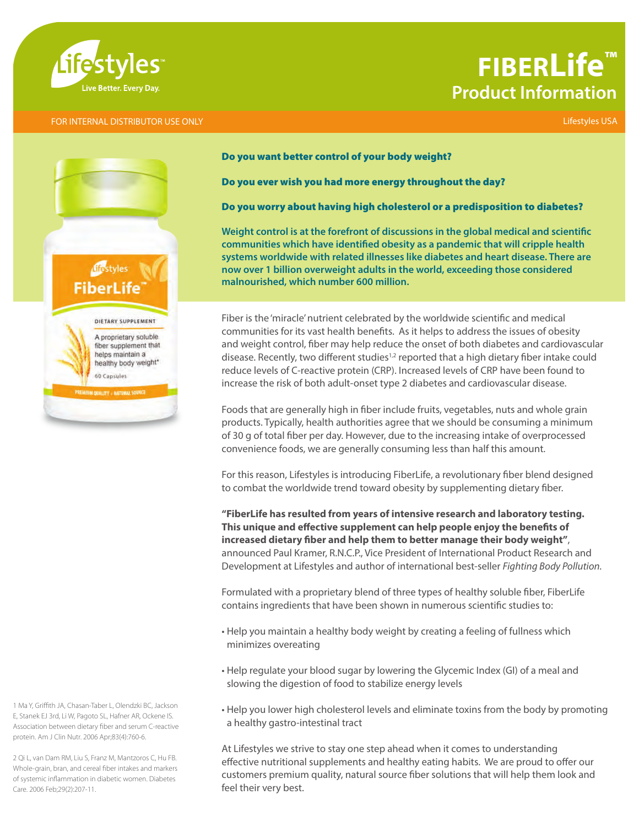

## **FIBERLife™ Product Information**

#### FOR INTERNAL DISTRIBUTOR USE ONLY Lifestyles USA



Do you want better control of your body weight?

Do you ever wish you had more energy throughout the day?

#### Do you worry about having high cholesterol or a predisposition to diabetes?

**Weight control is at the forefront of discussions in the global medical and scientific communities which have identified obesity as a pandemic that will cripple health systems worldwide with related illnesses like diabetes and heart disease. There are now over 1 billion overweight adults in the world, exceeding those considered malnourished, which number 600 million.**

Fiber is the 'miracle' nutrient celebrated by the worldwide scientific and medical communities for its vast health benefits. As it helps to address the issues of obesity and weight control, fiber may help reduce the onset of both diabetes and cardiovascular disease. Recently, two different studies<sup>1,2</sup> reported that a high dietary fiber intake could reduce levels of C-reactive protein (CRP). Increased levels of CRP have been found to increase the risk of both adult-onset type 2 diabetes and cardiovascular disease.

Foods that are generally high in fiber include fruits, vegetables, nuts and whole grain products. Typically, health authorities agree that we should be consuming a minimum of 30 g of total fiber per day. However, due to the increasing intake of overprocessed convenience foods, we are generally consuming less than half this amount.

For this reason, Lifestyles is introducing FiberLife, a revolutionary fiber blend designed to combat the worldwide trend toward obesity by supplementing dietary fiber.

**"FiberLife has resulted from years of intensive research and laboratory testing. This unique and effective supplement can help people enjoy the benefits of increased dietary fiber and help them to better manage their body weight"**, announced Paul Kramer, R.N.C.P., Vice President of International Product Research and Development at Lifestyles and author of international best-seller *Fighting Body Pollution.*

Formulated with a proprietary blend of three types of healthy soluble fiber, FiberLife contains ingredients that have been shown in numerous scientific studies to:

- Help you maintain a healthy body weight by creating a feeling of fullness which minimizes overeating
- Help regulate your blood sugar by lowering the Glycemic Index (GI) of a meal and slowing the digestion of food to stabilize energy levels
- Help you lower high cholesterol levels and eliminate toxins from the body by promoting a healthy gastro-intestinal tract

At Lifestyles we strive to stay one step ahead when it comes to understanding effective nutritional supplements and healthy eating habits. We are proud to offer our customers premium quality, natural source fiber solutions that will help them look and feel their very best.

1 Ma Y, Griffith JA, Chasan-Taber L, Olendzki BC, Jackson E, Stanek EJ 3rd, Li W, Pagoto SL, Hafner AR, Ockene IS. Association between dietary fiber and serum C-reactive protein. Am J Clin Nutr. 2006 Apr;83(4):760-6.

2 Qi L, van Dam RM, Liu S, Franz M, Mantzoros C, Hu FB. Whole-grain, bran, and cereal fiber intakes and markers of systemic inflammation in diabetic women. Diabetes Care. 2006 Feb;29(2):207-11.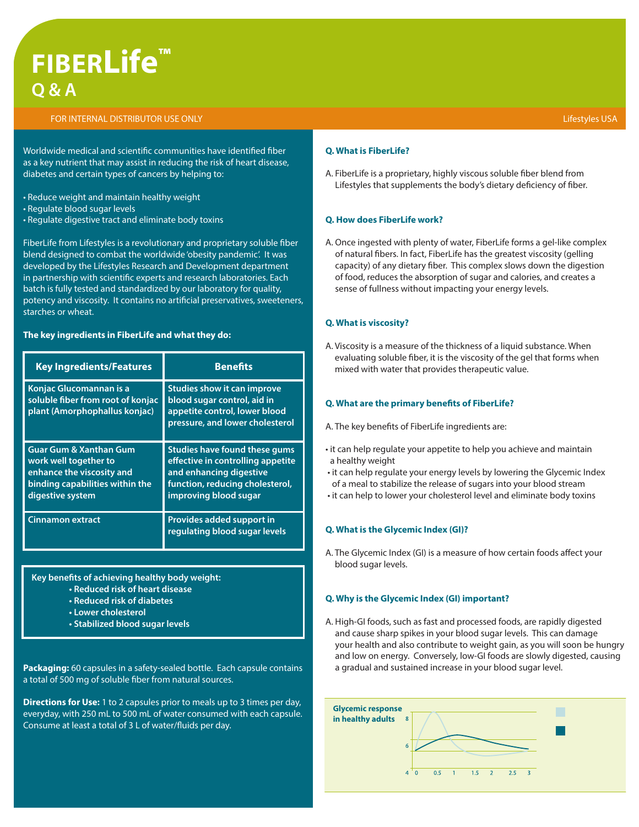# **FIBERLife™ Q & A**

#### FOR INTERNAL DISTRIBUTOR USE ONLY

Worldwide medical and scientific communities have identified fiber as a key nutrient that may assist in reducing the risk of heart disease, diabetes and certain types of cancers by helping to:

- Reduce weight and maintain healthy weight
- Regulate blood sugar levels
- Regulate digestive tract and eliminate body toxins

FiberLife from Lifestyles is a revolutionary and proprietary soluble fiber blend designed to combat the worldwide 'obesity pandemic'. It was developed by the Lifestyles Research and Development department in partnership with scientific experts and research laboratories. Each batch is fully tested and standardized by our laboratory for quality, potency and viscosity. It contains no artificial preservatives, sweeteners, starches or wheat.

#### **The key ingredients in FiberLife and what they do:**

| <b>Key Ingredients/Features</b>                                                                                                                | <b>Benefits</b>                                                                                                                                                  |  |  |  |  |
|------------------------------------------------------------------------------------------------------------------------------------------------|------------------------------------------------------------------------------------------------------------------------------------------------------------------|--|--|--|--|
| <b>Konjac Glucomannan is a</b><br>soluble fiber from root of konjac<br>plant (Amorphophallus konjac)                                           | <b>Studies show it can improve</b><br>blood sugar control, aid in<br>appetite control, lower blood<br>pressure, and lower cholesterol                            |  |  |  |  |
| <b>Guar Gum &amp; Xanthan Gum</b><br>work well together to<br>enhance the viscosity and<br>binding capabilities within the<br>digestive system | <b>Studies have found these gums</b><br>effective in controlling appetite<br>and enhancing digestive<br>function, reducing cholesterol,<br>improving blood sugar |  |  |  |  |
| <b>Cinnamon extract</b>                                                                                                                        | Provides added support in<br>regulating blood sugar levels                                                                                                       |  |  |  |  |

**Key benefits of achieving healthy body weight:**

- **Reduced risk of heart disease**
- **Reduced risk of diabetes**
- **Lower cholesterol**
- **Stabilized blood sugar levels**

**Packaging:** 60 capsules in a safety-sealed bottle. Each capsule contains a total of 500 mg of soluble fiber from natural sources.

**Directions for Use:** 1 to 2 capsules prior to meals up to 3 times per day, everyday, with 250 mL to 500 mL of water consumed with each capsule. Consume at least a total of 3 L of water/fluids per day.

#### **Q. What is FiberLife?**

A. FiberLife is a proprietary, highly viscous soluble fiber blend from Lifestyles that supplements the body's dietary deficiency of fiber.

#### **Q. How does FiberLife work?**

A. Once ingested with plenty of water, FiberLife forms a gel-like complex of natural fibers. In fact, FiberLife has the greatest viscosity (gelling capacity) of any dietary fiber. This complex slows down the digestion of food, reduces the absorption of sugar and calories, and creates a sense of fullness without impacting your energy levels.

#### **Q. What is viscosity?**

A. Viscosity is a measure of the thickness of a liquid substance. When evaluating soluble fiber, it is the viscosity of the gel that forms when mixed with water that provides therapeutic value.

#### **Q. What are the primary benefits of FiberLife?**

A. The key benefits of FiberLife ingredients are:

- it can help regulate your appetite to help you achieve and maintain a healthy weight
- it can help regulate your energy levels by lowering the Glycemic Index of a meal to stabilize the release of sugars into your blood stream
- it can help to lower your cholesterol level and eliminate body toxins

#### **Q. What is the Glycemic Index (GI)?**

A. The Glycemic Index (GI) is a measure of how certain foods affect your blood sugar levels.

#### **Q. Why is the Glycemic Index (GI) important?**

A. High-GI foods, such as fast and processed foods, are rapidly digested and cause sharp spikes in your blood sugar levels. This can damage your health and also contribute to weight gain, as you will soon be hungry and low on energy. Conversely, low-GI foods are slowly digested, causing a gradual and sustained increase in your blood sugar level.

| Glycemic response<br>in healthy adults | 8<br>6         |          |     |               |  |  |
|----------------------------------------|----------------|----------|-----|---------------|--|--|
|                                        | $\overline{4}$ | $\Omega$ | 0.5 | 1 1.5 2 2.5 3 |  |  |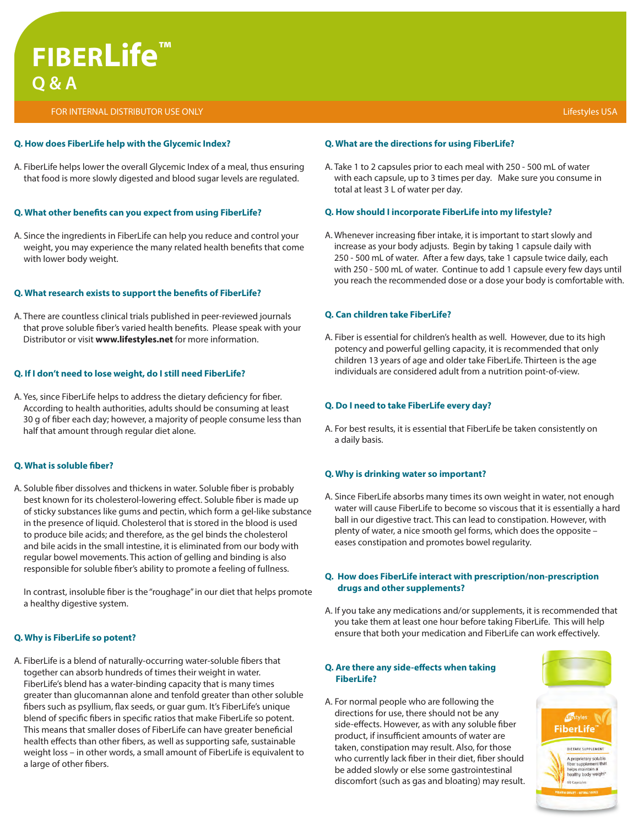## **FIBERLife™ Q & A**

FOR INTERNAL DISTRIBUTOR USE ONLY Lifestyles USA

#### **Q. How does FiberLife help with the Glycemic Index?**

A. FiberLife helps lower the overall Glycemic Index of a meal, thus ensuring that food is more slowly digested and blood sugar levels are regulated.

## **Q. What other benefits can you expect from using FiberLife?**

A. Since the ingredients in FiberLife can help you reduce and control your weight, you may experience the many related health benefits that come with lower body weight.

## **Q. What research exists to support the benefits of FiberLife?**

A. There are countless clinical trials published in peer-reviewed journals that prove soluble fiber's varied health benefits. Please speak with your Distributor or visit **www.lifestyles.net** for more information.

## **Q. If I don't need to lose weight, do I still need FiberLife?**

A. Yes, since FiberLife helps to address the dietary deficiency for fiber. According to health authorities, adults should be consuming at least 30 g of fiber each day; however, a majority of people consume less than half that amount through regular diet alone.

## **Q. What is soluble fiber?**

A. Soluble fiber dissolves and thickens in water. Soluble fiber is probably best known for its cholesterol-lowering effect. Soluble fiber is made up of sticky substances like gums and pectin, which form a gel-like substance in the presence of liquid. Cholesterol that is stored in the blood is used to produce bile acids; and therefore, as the gel binds the cholesterol and bile acids in the small intestine, it is eliminated from our body with regular bowel movements. This action of gelling and binding is also responsible for soluble fiber's ability to promote a feeling of fullness.

In contrast, insoluble fiber is the "roughage" in our diet that helps promote a healthy digestive system.

## **Q. Why is FiberLife so potent?**

A. FiberLife is a blend of naturally-occurring water-soluble fibers that together can absorb hundreds of times their weight in water. FiberLife's blend has a water-binding capacity that is many times greater than glucomannan alone and tenfold greater than other soluble fibers such as psyllium, flax seeds, or guar gum. It's FiberLife's unique blend of specific fibers in specific ratios that make FiberLife so potent. This means that smaller doses of FiberLife can have greater beneficial health effects than other fibers, as well as supporting safe, sustainable weight loss – in other words, a small amount of FiberLife is equivalent to a large of other fibers.

## **Q. What are the directions for using FiberLife?**

A. Take 1 to 2 capsules prior to each meal with 250 - 500 mL of water with each capsule, up to 3 times per day. Make sure you consume in total at least 3 L of water per day.

## **Q. How should I incorporate FiberLife into my lifestyle?**

A. Whenever increasing fiber intake, it is important to start slowly and increase as your body adjusts. Begin by taking 1 capsule daily with 250 - 500 mL of water. After a few days, take 1 capsule twice daily, each with 250 - 500 mL of water. Continue to add 1 capsule every few days until you reach the recommended dose or a dose your body is comfortable with.

## **Q. Can children take FiberLife?**

A. Fiber is essential for children's health as well. However, due to its high potency and powerful gelling capacity, it is recommended that only children 13 years of age and older take FiberLife. Thirteen is the age individuals are considered adult from a nutrition point-of-view.

## **Q. Do I need to take FiberLife every day?**

A. For best results, it is essential that FiberLife be taken consistently on a daily basis.

## **Q. Why is drinking water so important?**

A. Since FiberLife absorbs many times its own weight in water, not enough water will cause FiberLife to become so viscous that it is essentially a hard ball in our digestive tract. This can lead to constipation. However, with plenty of water, a nice smooth gel forms, which does the opposite – eases constipation and promotes bowel regularity.

## **Q. How does FiberLife interact with prescription/non-prescription drugs and other supplements?**

A. If you take any medications and/or supplements, it is recommended that you take them at least one hour before taking FiberLife. This will help ensure that both your medication and FiberLife can work effectively.

### **Q. Are there any side-effects when taking FiberLife?**

A. For normal people who are following the directions for use, there should not be any side-effects. However, as with any soluble fiber product, if insufficient amounts of water are taken, constipation may result. Also, for those who currently lack fiber in their diet, fiber should be added slowly or else some gastrointestinal discomfort (such as gas and bloating) may result.